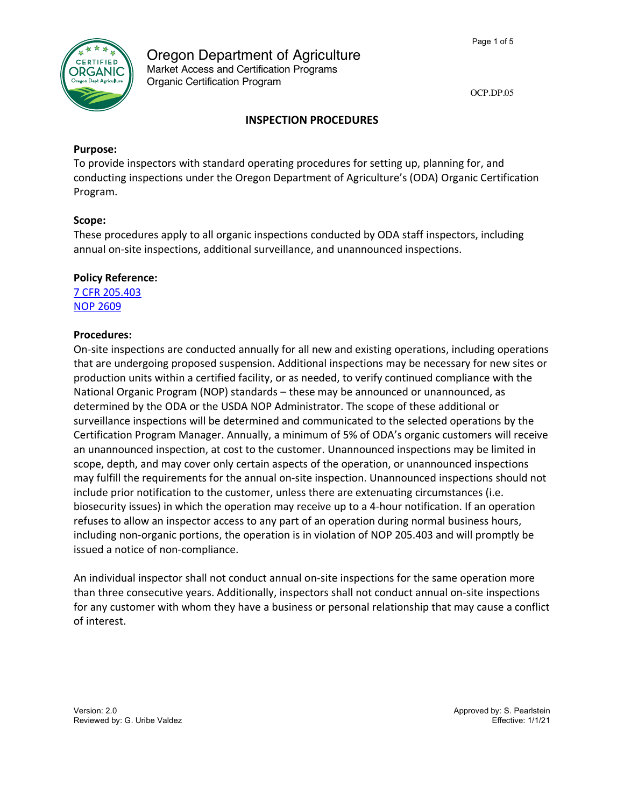

Oregon Department of Agriculture Market Access and Certification Programs Organic Certification Program

OCP.DP.05

# **INSPECTION PROCEDURES**

## **Purpose:**

To provide inspectors with standard operating procedures for setting up, planning for, and conducting inspections under the Oregon Department of Agriculture's (ODA) Organic Certification Program.

## **Scope:**

These procedures apply to all organic inspections conducted by ODA staff inspectors, including annual on-site inspections, additional surveillance, and unannounced inspections.

# **Policy Reference:**

7 CFR 205.403 NOP 2609

## **Procedures:**

On-site inspections are conducted annually for all new and existing operations, including operations that are undergoing proposed suspension. Additional inspections may be necessary for new sites or production units within a certified facility, or as needed, to verify continued compliance with the National Organic Program (NOP) standards – these may be announced or unannounced, as determined by the ODA or the USDA NOP Administrator. The scope of these additional or surveillance inspections will be determined and communicated to the selected operations by the Certification Program Manager. Annually, a minimum of 5% of ODA's organic customers will receive an unannounced inspection, at cost to the customer. Unannounced inspections may be limited in scope, depth, and may cover only certain aspects of the operation, or unannounced inspections may fulfill the requirements for the annual on-site inspection. Unannounced inspections should not include prior notification to the customer, unless there are extenuating circumstances (i.e. biosecurity issues) in which the operation may receive up to a 4-hour notification. If an operation refuses to allow an inspector access to any part of an operation during normal business hours, including non-organic portions, the operation is in violation of NOP 205.403 and will promptly be issued a notice of non-compliance.

An individual inspector shall not conduct annual on-site inspections for the same operation more than three consecutive years. Additionally, inspectors shall not conduct annual on-site inspections for any customer with whom they have a business or personal relationship that may cause a conflict of interest.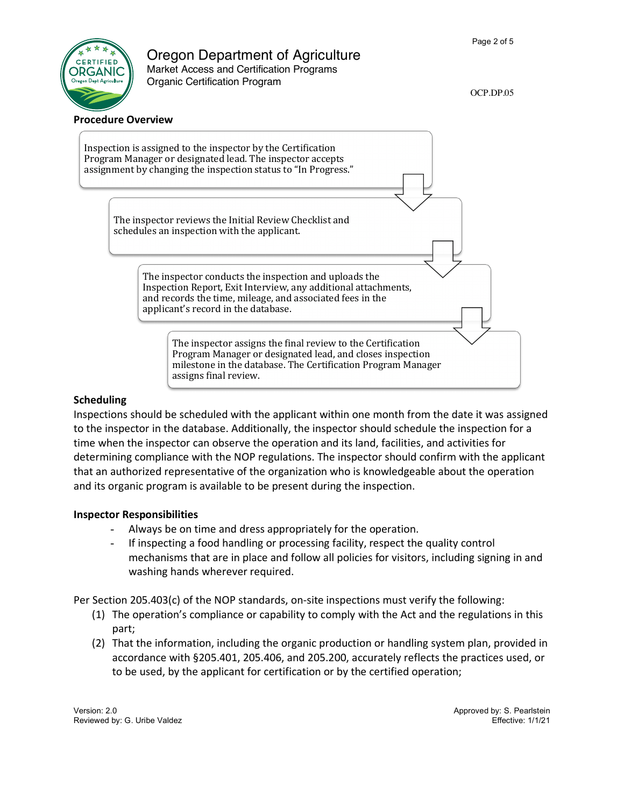# DRGANIC

# Oregon Department of Agriculture

Market Access and Certification Programs Organic Certification Program

OCP.DP.05



# **Scheduling**

Inspections should be scheduled with the applicant within one month from the date it was assigned to the inspector in the database. Additionally, the inspector should schedule the inspection for a time when the inspector can observe the operation and its land, facilities, and activities for determining compliance with the NOP regulations. The inspector should confirm with the applicant that an authorized representative of the organization who is knowledgeable about the operation and its organic program is available to be present during the inspection.

# **Inspector Responsibilities**

- Always be on time and dress appropriately for the operation.
- If inspecting a food handling or processing facility, respect the quality control mechanisms that are in place and follow all policies for visitors, including signing in and washing hands wherever required.

Per Section 205.403(c) of the NOP standards, on-site inspections must verify the following:

- (1) The operation's compliance or capability to comply with the Act and the regulations in this part;
- (2) That the information, including the organic production or handling system plan, provided in accordance with §205.401, 205.406, and 205.200, accurately reflects the practices used, or to be used, by the applicant for certification or by the certified operation;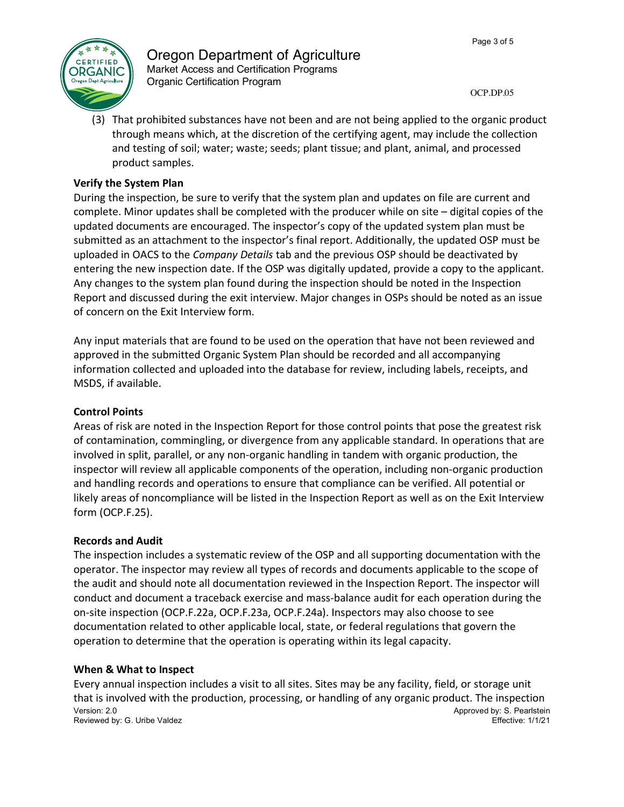

# Oregon Department of Agriculture Market Access and Certification Programs Organic Certification Program

OCP.DP.05

(3) That prohibited substances have not been and are not being applied to the organic product through means which, at the discretion of the certifying agent, may include the collection and testing of soil; water; waste; seeds; plant tissue; and plant, animal, and processed product samples.

# **Verify the System Plan**

During the inspection, be sure to verify that the system plan and updates on file are current and complete. Minor updates shall be completed with the producer while on site – digital copies of the updated documents are encouraged. The inspector's copy of the updated system plan must be submitted as an attachment to the inspector's final report. Additionally, the updated OSP must be uploaded in OACS to the *Company Details* tab and the previous OSP should be deactivated by entering the new inspection date. If the OSP was digitally updated, provide a copy to the applicant. Any changes to the system plan found during the inspection should be noted in the Inspection Report and discussed during the exit interview. Major changes in OSPs should be noted as an issue of concern on the Exit Interview form.

Any input materials that are found to be used on the operation that have not been reviewed and approved in the submitted Organic System Plan should be recorded and all accompanying information collected and uploaded into the database for review, including labels, receipts, and MSDS, if available.

# **Control Points**

Areas of risk are noted in the Inspection Report for those control points that pose the greatest risk of contamination, commingling, or divergence from any applicable standard. In operations that are involved in split, parallel, or any non-organic handling in tandem with organic production, the inspector will review all applicable components of the operation, including non-organic production and handling records and operations to ensure that compliance can be verified. All potential or likely areas of noncompliance will be listed in the Inspection Report as well as on the Exit Interview form (OCP.F.25).

# **Records and Audit**

The inspection includes a systematic review of the OSP and all supporting documentation with the operator. The inspector may review all types of records and documents applicable to the scope of the audit and should note all documentation reviewed in the Inspection Report. The inspector will conduct and document a traceback exercise and mass-balance audit for each operation during the on-site inspection (OCP.F.22a, OCP.F.23a, OCP.F.24a). Inspectors may also choose to see documentation related to other applicable local, state, or federal regulations that govern the operation to determine that the operation is operating within its legal capacity.

# **When & What to Inspect**

Version: 2.0 **Approved by: S. Pearlstein** Reviewed by: G. Uribe Valdez **Effective:** 1/1/21 Every annual inspection includes a visit to all sites. Sites may be any facility, field, or storage unit that is involved with the production, processing, or handling of any organic product. The inspection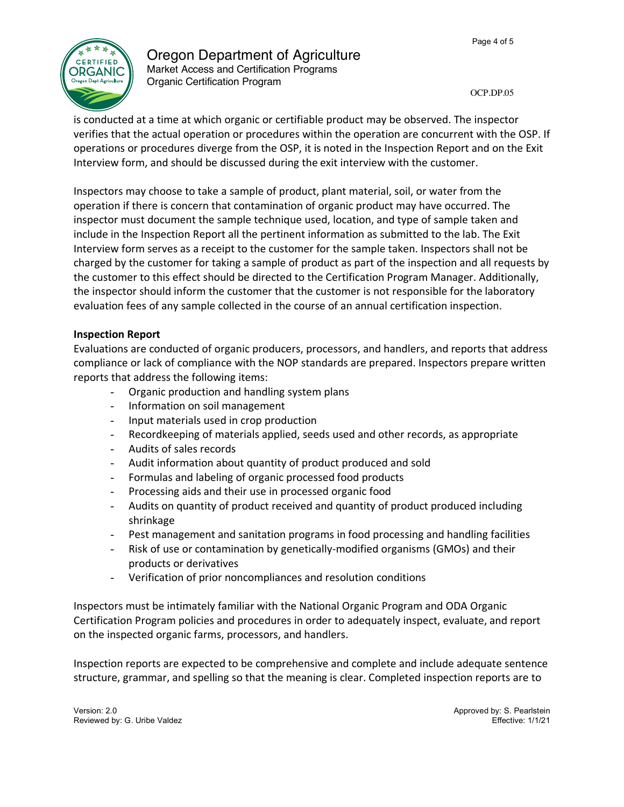

# Oregon Department of Agriculture

Market Access and Certification Programs Organic Certification Program

OCP.DP.05

is conducted at a time at which organic or certifiable product may be observed. The inspector verifies that the actual operation or procedures within the operation are concurrent with the OSP. If operations or procedures diverge from the OSP, it is noted in the Inspection Report and on the Exit Interview form, and should be discussed during the exit interview with the customer.

Inspectors may choose to take a sample of product, plant material, soil, or water from the operation if there is concern that contamination of organic product may have occurred. The inspector must document the sample technique used, location, and type of sample taken and include in the Inspection Report all the pertinent information as submitted to the lab. The Exit Interview form serves as a receipt to the customer for the sample taken. Inspectors shall not be charged by the customer for taking a sample of product as part of the inspection and all requests by the customer to this effect should be directed to the Certification Program Manager. Additionally, the inspector should inform the customer that the customer is not responsible for the laboratory evaluation fees of any sample collected in the course of an annual certification inspection.

# **Inspection Report**

Evaluations are conducted of organic producers, processors, and handlers, and reports that address compliance or lack of compliance with the NOP standards are prepared. Inspectors prepare written reports that address the following items:

- Organic production and handling system plans
- Information on soil management
- Input materials used in crop production
- Recordkeeping of materials applied, seeds used and other records, as appropriate
- Audits of sales records
- Audit information about quantity of product produced and sold
- Formulas and labeling of organic processed food products
- Processing aids and their use in processed organic food
- Audits on quantity of product received and quantity of product produced including shrinkage
- Pest management and sanitation programs in food processing and handling facilities
- Risk of use or contamination by genetically-modified organisms (GMOs) and their products or derivatives
- Verification of prior noncompliances and resolution conditions

Inspectors must be intimately familiar with the National Organic Program and ODA Organic Certification Program policies and procedures in order to adequately inspect, evaluate, and report on the inspected organic farms, processors, and handlers.

Inspection reports are expected to be comprehensive and complete and include adequate sentence structure, grammar, and spelling so that the meaning is clear. Completed inspection reports are to